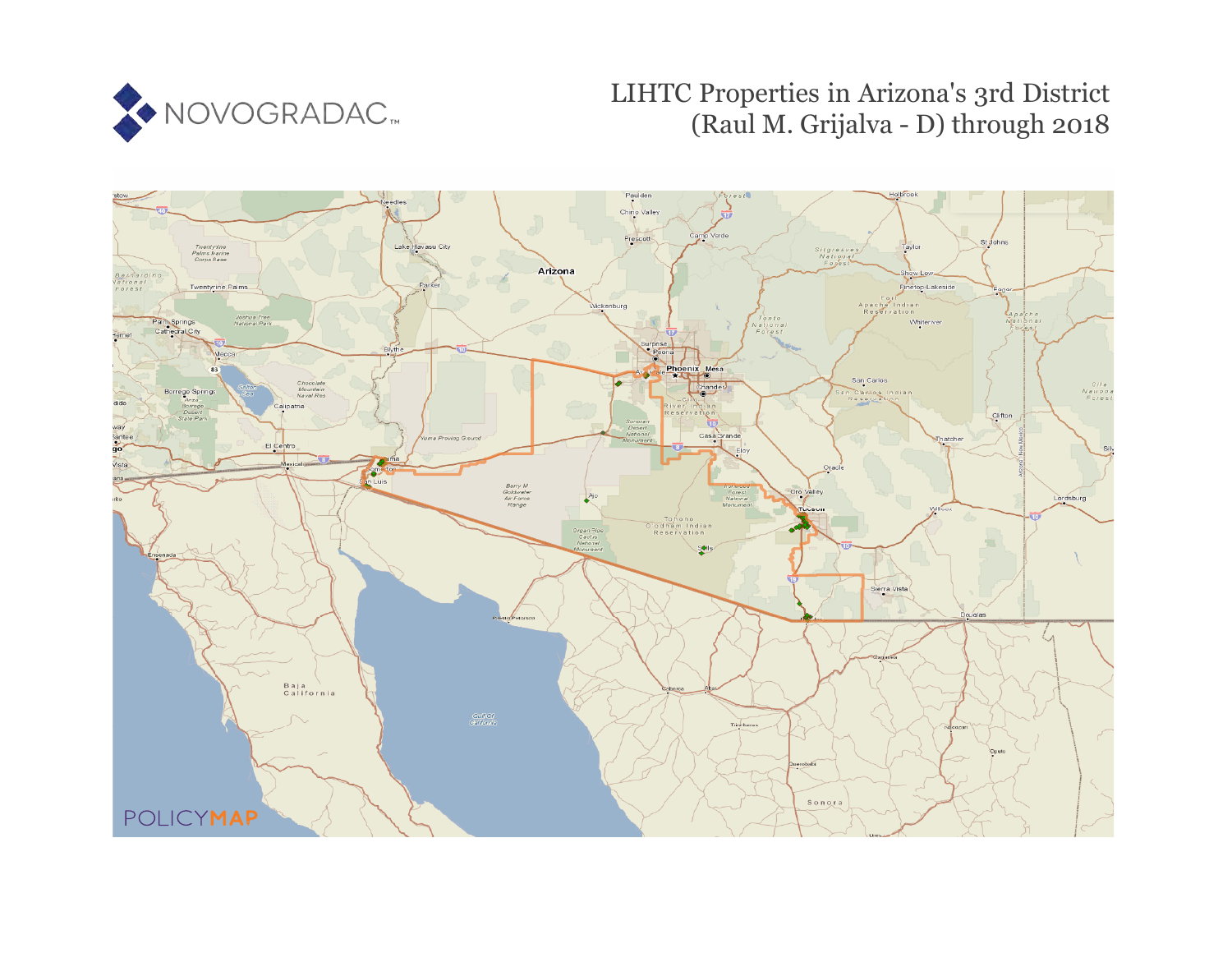

# LIHTC Properties in Arizona's 3rd District (Raul M. Grijalva - D) through 2018

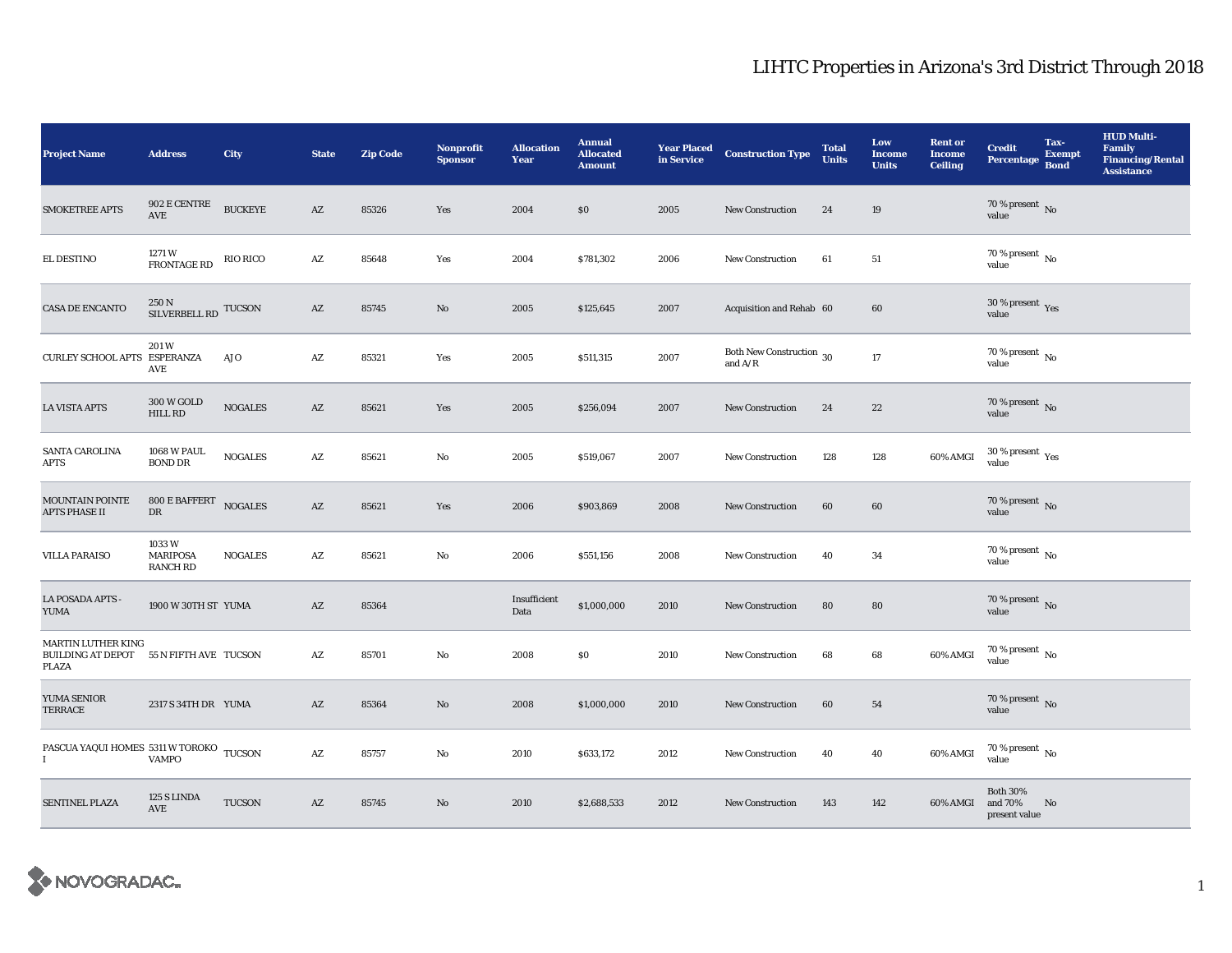| <b>Project Name</b>                                                           | <b>Address</b>                              | City            | <b>State</b>           | <b>Zip Code</b> | <b>Nonprofit</b><br><b>Sponsor</b> | <b>Allocation</b><br>Year | <b>Annual</b><br><b>Allocated</b><br><b>Amount</b> | <b>Year Placed</b><br>in Service | <b>Construction Type</b>                        | <b>Total</b><br><b>Units</b> | Low<br><b>Income</b><br><b>Units</b> | <b>Rent or</b><br><b>Income</b><br><b>Ceiling</b> | <b>Credit</b><br>Percentage Bond            | Tax-<br><b>Exempt</b> | <b>HUD Multi-</b><br><b>Family</b><br><b>Financing/Rental</b><br><b>Assistance</b> |
|-------------------------------------------------------------------------------|---------------------------------------------|-----------------|------------------------|-----------------|------------------------------------|---------------------------|----------------------------------------------------|----------------------------------|-------------------------------------------------|------------------------------|--------------------------------------|---------------------------------------------------|---------------------------------------------|-----------------------|------------------------------------------------------------------------------------|
| <b>SMOKETREE APTS</b>                                                         | 902 E CENTRE<br>AVE                         | <b>BUCKEYE</b>  | AZ                     | 85326           | Yes                                | 2004                      | \$0                                                | 2005                             | <b>New Construction</b>                         | 24                           | 19                                   |                                                   | $70$ % present $\,$ No value                |                       |                                                                                    |
| EL DESTINO                                                                    | 1271 W<br><b>FRONTAGE RD</b>                | <b>RIO RICO</b> | $\mathbf{A}\mathbf{Z}$ | 85648           | Yes                                | 2004                      | \$781,302                                          | 2006                             | <b>New Construction</b>                         | 61                           | 51                                   |                                                   | 70 % present $\,$ No $\,$<br>value          |                       |                                                                                    |
| CASA DE ENCANTO                                                               | $250\,\mathrm{N}$ SILVERBELL RD TUCSON      |                 | AZ                     | 85745           | No                                 | 2005                      | \$125,645                                          | 2007                             | Acquisition and Rehab 60                        |                              | 60                                   |                                                   | $30\,\%$ present $\,$ $_{\rm Yes}$<br>value |                       |                                                                                    |
| CURLEY SCHOOL APTS ESPERANZA                                                  | 201 W<br>AVE                                | AJO             | A Z                    | 85321           | Yes                                | 2005                      | \$511,315                                          | 2007                             | Both New Construction $\,$ 30 $\,$<br>and $A/R$ |                              | 17                                   |                                                   | $70$ % present $\,$ No value                |                       |                                                                                    |
| <b>LA VISTA APTS</b>                                                          | 300 W GOLD<br>HILL RD                       | <b>NOGALES</b>  | AZ                     | 85621           | Yes                                | 2005                      | \$256,094                                          | 2007                             | <b>New Construction</b>                         | 24                           | 22                                   |                                                   | $70$ % present $\,$ No value                |                       |                                                                                    |
| SANTA CAROLINA<br><b>APTS</b>                                                 | <b>1068 W PAUL</b><br><b>BOND DR</b>        | <b>NOGALES</b>  | A Z                    | 85621           | No                                 | 2005                      | \$519,067                                          | 2007                             | New Construction                                | 128                          | 128                                  | 60% AMGI                                          | $30\,\%$ present $\,$ $\rm Yes$<br>value    |                       |                                                                                    |
| MOUNTAIN POINTE<br><b>APTS PHASE II</b>                                       | 800 E BAFFERT NOGALES<br>DR                 |                 | AZ                     | 85621           | Yes                                | 2006                      | \$903,869                                          | 2008                             | New Construction                                | 60                           | 60                                   |                                                   | 70 % present $\,$ No $\,$<br>value          |                       |                                                                                    |
| <b>VILLA PARAISO</b>                                                          | 1033W<br><b>MARIPOSA</b><br><b>RANCH RD</b> | <b>NOGALES</b>  | AZ                     | 85621           | No                                 | 2006                      | \$551,156                                          | 2008                             | New Construction                                | 40                           | 34                                   |                                                   | $70\,\%$ present $\,$ No value              |                       |                                                                                    |
| LA POSADA APTS -<br><b>YUMA</b>                                               | 1900 W 30TH ST YUMA                         |                 | AZ                     | 85364           |                                    | Insufficient<br>Data      | \$1,000,000                                        | 2010                             | <b>New Construction</b>                         | 80                           | 80                                   |                                                   | $70\,\%$ present $\,$ No value              |                       |                                                                                    |
| <b>MARTIN LUTHER KING</b><br>BUILDING AT DEPOT 55 N FIFTH AVE TUCSON<br>PLAZA |                                             |                 | AZ                     | 85701           | No                                 | 2008                      | $\$0$                                              | 2010                             | <b>New Construction</b>                         | 68                           | 68                                   | 60% AMGI                                          | $70$ % present $\,$ No $\,$<br>value        |                       |                                                                                    |
| YUMA SENIOR<br><b>TERRACE</b>                                                 | 2317 S 34TH DR YUMA                         |                 | AZ                     | 85364           | No                                 | 2008                      | \$1,000,000                                        | 2010                             | <b>New Construction</b>                         | 60                           | 54                                   |                                                   | $70\,\%$ present $\,$ No value              |                       |                                                                                    |
| PASCUA YAQUI HOMES 5311 W TOROKO TUCSON<br>$\mathbf I$                        | <b>VAMPO</b>                                |                 | AZ                     | 85757           | No                                 | 2010                      | \$633,172                                          | 2012                             | <b>New Construction</b>                         | 40                           | 40                                   | 60% AMGI                                          | $70$ % present $\,$ No $\,$<br>value        |                       |                                                                                    |
| <b>SENTINEL PLAZA</b>                                                         | 125 S LINDA<br><b>AVE</b>                   | <b>TUCSON</b>   | $\mathbf{A}\mathbf{Z}$ | 85745           | No                                 | 2010                      | \$2,688,533                                        | 2012                             | <b>New Construction</b>                         | 143                          | 142                                  | 60% AMGI                                          | <b>Both 30%</b><br>and 70%<br>present value | No                    |                                                                                    |

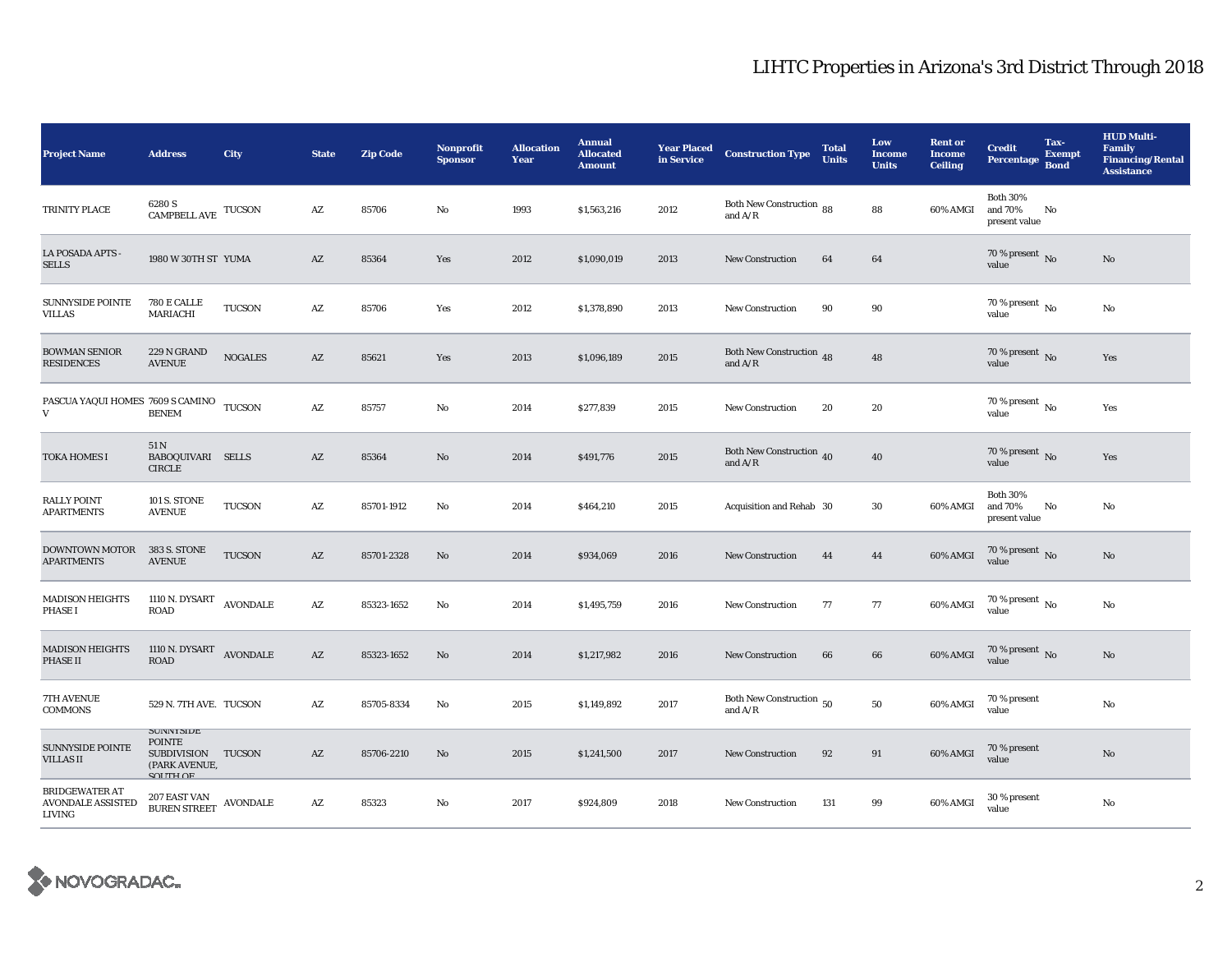| <b>Project Name</b>                                         | <b>Address</b>                                                                                  | City           | <b>State</b>           | <b>Zip Code</b> | <b>Nonprofit</b><br><b>Sponsor</b> | <b>Allocation</b><br>Year | <b>Annual</b><br><b>Allocated</b><br><b>Amount</b> | <b>Year Placed</b><br>in Service | <b>Construction Type</b>                                | <b>Total</b><br><b>Units</b> | Low<br><b>Income</b><br><b>Units</b> | <b>Rent or</b><br><b>Income</b><br><b>Ceiling</b> | <b>Credit</b><br>Percentage Bond            | Tax-<br><b>Exempt</b> | <b>HUD Multi-</b><br><b>Family</b><br><b>Financing/Rental</b><br><b>Assistance</b> |
|-------------------------------------------------------------|-------------------------------------------------------------------------------------------------|----------------|------------------------|-----------------|------------------------------------|---------------------------|----------------------------------------------------|----------------------------------|---------------------------------------------------------|------------------------------|--------------------------------------|---------------------------------------------------|---------------------------------------------|-----------------------|------------------------------------------------------------------------------------|
| TRINITY PLACE                                               | 6280 S<br>$\label{eq:camPBEL} \begin{array}{ll} \textrm{CAMPBEL} & \textrm{TUCSON} \end{array}$ |                | $\mathbf{A}\mathbf{Z}$ | 85706           | No                                 | 1993                      | \$1,563,216                                        | 2012                             | Both New Construction 88<br>and $A/R$                   |                              | 88                                   | 60% AMGI                                          | <b>Both 30%</b><br>and 70%<br>present value | No                    |                                                                                    |
| LA POSADA APTS -<br><b>SELLS</b>                            | 1980 W 30TH ST YUMA                                                                             |                | AZ                     | 85364           | Yes                                | 2012                      | \$1,090,019                                        | 2013                             | <b>New Construction</b>                                 | 64                           | 64                                   |                                                   | 70 % present $\overline{N_0}$<br>value      |                       | No                                                                                 |
| <b>SUNNYSIDE POINTE</b><br><b>VILLAS</b>                    | 780 E CALLE<br>MARIACHI                                                                         | <b>TUCSON</b>  | $\mathbf{A}\mathbf{Z}$ | 85706           | Yes                                | 2012                      | \$1,378,890                                        | 2013                             | <b>New Construction</b>                                 | 90                           | 90                                   |                                                   | 70 % present $\,$ No $\,$<br>value          |                       | No                                                                                 |
| <b>BOWMAN SENIOR</b><br><b>RESIDENCES</b>                   | 229 N GRAND<br><b>AVENUE</b>                                                                    | <b>NOGALES</b> | $\mathbf{A}\mathbf{Z}$ | 85621           | Yes                                | 2013                      | \$1,096,189                                        | 2015                             | Both New Construction 48<br>and $\mathrm{A}/\mathrm{R}$ |                              | 48                                   |                                                   | 70 % present $\,$ No $\,$<br>value          |                       | Yes                                                                                |
| PASCUA YAQUI HOMES 7609 S CAMINO TUCSON<br>V                | <b>BENEM</b>                                                                                    |                | AZ                     | 85757           | No                                 | 2014                      | \$277,839                                          | 2015                             | <b>New Construction</b>                                 | 20                           | 20                                   |                                                   | 70 % present $\,$ No $\,$<br>value          |                       | Yes                                                                                |
| <b>TOKA HOMES I</b>                                         | 51 N<br>BABOQUIVARI SELLS<br><b>CIRCLE</b>                                                      |                | AZ                     | 85364           | No                                 | 2014                      | \$491,776                                          | 2015                             | Both New Construction 40<br>and $A/R$                   |                              | 40                                   |                                                   | 70 % present $\,$ No $\,$<br>value          |                       | Yes                                                                                |
| <b>RALLY POINT</b><br><b>APARTMENTS</b>                     | <b>101 S. STONE</b><br><b>AVENUE</b>                                                            | <b>TUCSON</b>  | AZ                     | 85701-1912      | No                                 | 2014                      | \$464,210                                          | 2015                             | <b>Acquisition and Rehab 30</b>                         |                              | 30                                   | 60% AMGI                                          | <b>Both 30%</b><br>and 70%<br>present value | No                    | No                                                                                 |
| <b>DOWNTOWN MOTOR</b><br><b>APARTMENTS</b>                  | 383 S. STONE<br><b>AVENUE</b>                                                                   | <b>TUCSON</b>  | AZ                     | 85701-2328      | No                                 | 2014                      | \$934,069                                          | 2016                             | <b>New Construction</b>                                 | 44                           | 44                                   | $60\%$ AMGI                                       | 70 % present $\hbox{~No}$<br>value          |                       | No                                                                                 |
| <b>MADISON HEIGHTS</b><br><b>PHASE I</b>                    | 1110 N. DYSART AVONDALE<br><b>ROAD</b>                                                          |                | $\mathbf{A}\mathbf{Z}$ | 85323-1652      | No                                 | 2014                      | \$1,495,759                                        | 2016                             | <b>New Construction</b>                                 | 77                           | 77                                   | 60% AMGI                                          | 70 % present $\,$ No $\,$<br>value          |                       | No                                                                                 |
| <b>MADISON HEIGHTS</b><br><b>PHASE II</b>                   | 1110 N. DYSART AVONDALE<br><b>ROAD</b>                                                          |                | AZ                     | 85323-1652      | No                                 | 2014                      | \$1,217,982                                        | 2016                             | <b>New Construction</b>                                 | 66                           | 66                                   | 60% AMGI                                          | 70 % present $\overline{N_0}$<br>value      |                       | No                                                                                 |
| 7TH AVENUE<br><b>COMMONS</b>                                | 529 N. 7TH AVE. TUCSON                                                                          |                | $\mathbf{A}\mathbf{Z}$ | 85705-8334      | No                                 | 2015                      | \$1,149,892                                        | 2017                             | Both New Construction $\,$ 50 $\,$<br>and $A/R$         |                              | 50                                   | 60% AMGI                                          | 70 % present<br>value                       |                       | No                                                                                 |
| <b>SUNNYSIDE POINTE</b><br><b>VILLAS II</b>                 | <b>SUIVIVISIDE</b><br><b>POINTE</b><br>SUBDIVISION TUCSON<br>(PARK AVENUE,<br><b>COLITLI OF</b> |                | AZ                     | 85706-2210      | No                                 | 2015                      | \$1,241,500                                        | 2017                             | <b>New Construction</b>                                 | 92                           | 91                                   | 60% AMGI                                          | 70 % present<br>value                       |                       | No                                                                                 |
| <b>BRIDGEWATER AT</b><br><b>AVONDALE ASSISTED</b><br>LIVING | $207$ EAST VAN $$\,{\rm AVONDALE}$$ BUREN STREET                                                |                | AZ                     | 85323           | No                                 | 2017                      | \$924,809                                          | 2018                             | <b>New Construction</b>                                 | 131                          | 99                                   | 60% AMGI                                          | 30 % present<br>value                       |                       | No                                                                                 |

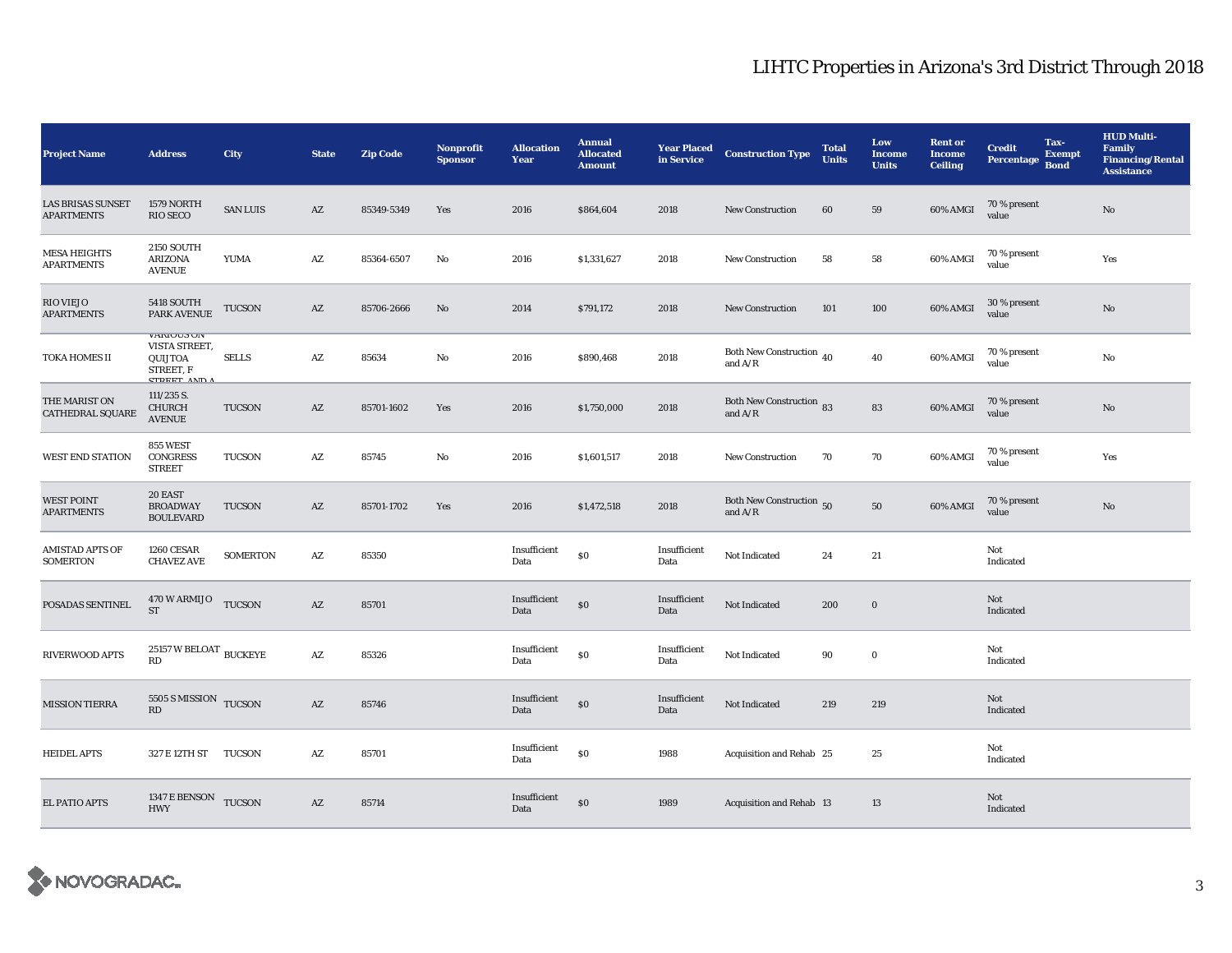| <b>Project Name</b>                           | <b>Address</b>                                                                    | City            | <b>State</b>           | <b>Zip Code</b> | <b>Nonprofit</b><br><b>Sponsor</b> | <b>Allocation</b><br>Year | <b>Annual</b><br><b>Allocated</b><br><b>Amount</b> | <b>Year Placed<br/>in Service</b> | <b>Construction Type</b>                                | <b>Total</b><br><b>Units</b> | Low<br><b>Income</b><br><b>Units</b> | <b>Rent or</b><br><b>Income</b><br><b>Ceiling</b> | Tax-<br><b>Credit</b><br><b>Exempt</b><br>Percentage Bond | <b>HUD Multi-</b><br><b>Family</b><br><b>Financing/Rental</b><br><b>Assistance</b> |
|-----------------------------------------------|-----------------------------------------------------------------------------------|-----------------|------------------------|-----------------|------------------------------------|---------------------------|----------------------------------------------------|-----------------------------------|---------------------------------------------------------|------------------------------|--------------------------------------|---------------------------------------------------|-----------------------------------------------------------|------------------------------------------------------------------------------------|
| <b>LAS BRISAS SUNSET</b><br><b>APARTMENTS</b> | 1579 NORTH<br>RIO SECO                                                            | <b>SAN LUIS</b> | $\mathbf{A}\mathbf{Z}$ | 85349-5349      | Yes                                | 2016                      | \$864,604                                          | 2018                              | <b>New Construction</b>                                 | 60                           | 59                                   | 60% AMGI                                          | 70 % present<br>value                                     | $\mathbf{N}\mathbf{o}$                                                             |
| <b>MESA HEIGHTS</b><br><b>APARTMENTS</b>      | <b>2150 SOUTH</b><br><b>ARIZONA</b><br><b>AVENUE</b>                              | <b>YUMA</b>     | $\mathbf{A}\mathbf{Z}$ | 85364-6507      | No                                 | 2016                      | \$1,331,627                                        | 2018                              | <b>New Construction</b>                                 | 58                           | 58                                   | 60% AMGI                                          | 70 % present<br>value                                     | Yes                                                                                |
| <b>RIO VIEJO</b><br><b>APARTMENTS</b>         | <b>5418 SOUTH</b><br>PARK AVENUE                                                  | TUCSON          | $\mathbf{A}\mathbf{Z}$ | 85706-2666      | No                                 | 2014                      | \$791,172                                          | 2018                              | <b>New Construction</b>                                 | 101                          | 100                                  | 60% AMGI                                          | 30 % present<br>value                                     | No                                                                                 |
| TOKA HOMES II                                 | <b>VAKIUUS UN</b><br>VISTA STREET,<br>QUIJTOA<br>STREET, F<br><b>CTDEET AND A</b> | <b>SELLS</b>    | $\mathbf{A}\mathbf{Z}$ | 85634           | No                                 | 2016                      | \$890,468                                          | 2018                              | Both New Construction $\sqrt{40}$<br>and $A/R$          |                              | 40                                   | 60% AMGI                                          | 70 % present<br>value                                     | No                                                                                 |
| THE MARIST ON<br>CATHEDRAL SQUARE             | $111/235$ S.<br><b>CHURCH</b><br><b>AVENUE</b>                                    | TUCSON          | AZ                     | 85701-1602      | Yes                                | 2016                      | \$1,750,000                                        | 2018                              | <b>Both New Construction 83</b><br>and $A/R$            |                              | 83                                   | 60% AMGI                                          | 70 % present<br>value                                     | $\mathbf{N}\mathbf{o}$                                                             |
| <b>WEST END STATION</b>                       | <b>855 WEST</b><br><b>CONGRESS</b><br><b>STREET</b>                               | TUCSON          | $\mathbf{A}\mathbf{Z}$ | 85745           | No                                 | 2016                      | \$1,601,517                                        | 2018                              | New Construction                                        | 70                           | 70                                   | 60% AMGI                                          | 70 % present<br>value                                     | Yes                                                                                |
| <b>WEST POINT</b><br><b>APARTMENTS</b>        | 20 EAST<br><b>BROADWAY</b><br><b>BOULEVARD</b>                                    | <b>TUCSON</b>   | $\mathbf{A}\mathbf{Z}$ | 85701-1702      | Yes                                | 2016                      | \$1,472,518                                        | 2018                              | Both New Construction 50<br>and $\mathrm{A}/\mathrm{R}$ |                              | 50                                   | 60% AMGI                                          | 70 % present<br>value                                     | $\mathbf{N}\mathbf{o}$                                                             |
| AMISTAD APTS OF<br><b>SOMERTON</b>            | <b>1260 CESAR</b><br><b>CHAVEZ AVE</b>                                            | <b>SOMERTON</b> | $\mathbf{A}\mathbf{Z}$ | 85350           |                                    | Insufficient<br>Data      | \$0                                                | Insufficient<br>Data              | Not Indicated                                           | 24                           | 21                                   |                                                   | Not<br>Indicated                                          |                                                                                    |
| POSADAS SENTINEL                              | 470 W ARMIJO TUCSON<br><b>ST</b>                                                  |                 | AZ                     | 85701           |                                    | Insufficient<br>Data      | $\$0$                                              | Insufficient<br>Data              | Not Indicated                                           | 200                          | $\boldsymbol{0}$                     |                                                   | Not<br>Indicated                                          |                                                                                    |
| RIVERWOOD APTS                                | $25157\,\mathrm{W}\,\mathrm{BELOAT}$ BUCKEYE<br>RD                                |                 | $\mathbf{A}\mathbf{Z}$ | 85326           |                                    | Insufficient<br>Data      | $\$0$                                              | Insufficient<br>Data              | Not Indicated                                           | 90                           | $\boldsymbol{0}$                     |                                                   | Not<br>Indicated                                          |                                                                                    |
| <b>MISSION TIERRA</b>                         | 5505 S MISSION TUCSON<br>RD                                                       |                 | $\mathbf{A}\mathbf{Z}$ | 85746           |                                    | Insufficient<br>Data      | \$0                                                | Insufficient<br>Data              | Not Indicated                                           | 219                          | 219                                  |                                                   | Not<br>Indicated                                          |                                                                                    |
| <b>HEIDEL APTS</b>                            | 327 E 12TH ST TUCSON                                                              |                 | $\mathbf{A}\mathbf{Z}$ | 85701           |                                    | Insufficient<br>Data      | \$0                                                | 1988                              | Acquisition and Rehab 25                                |                              | 25                                   |                                                   | Not<br>Indicated                                          |                                                                                    |
| <b>EL PATIO APTS</b>                          | 1347 E BENSON TUCSON<br><b>HWY</b>                                                |                 | AZ                     | 85714           |                                    | Insufficient<br>Data      | \$0                                                | 1989                              | Acquisition and Rehab 13                                |                              | 13                                   |                                                   | Not<br>Indicated                                          |                                                                                    |

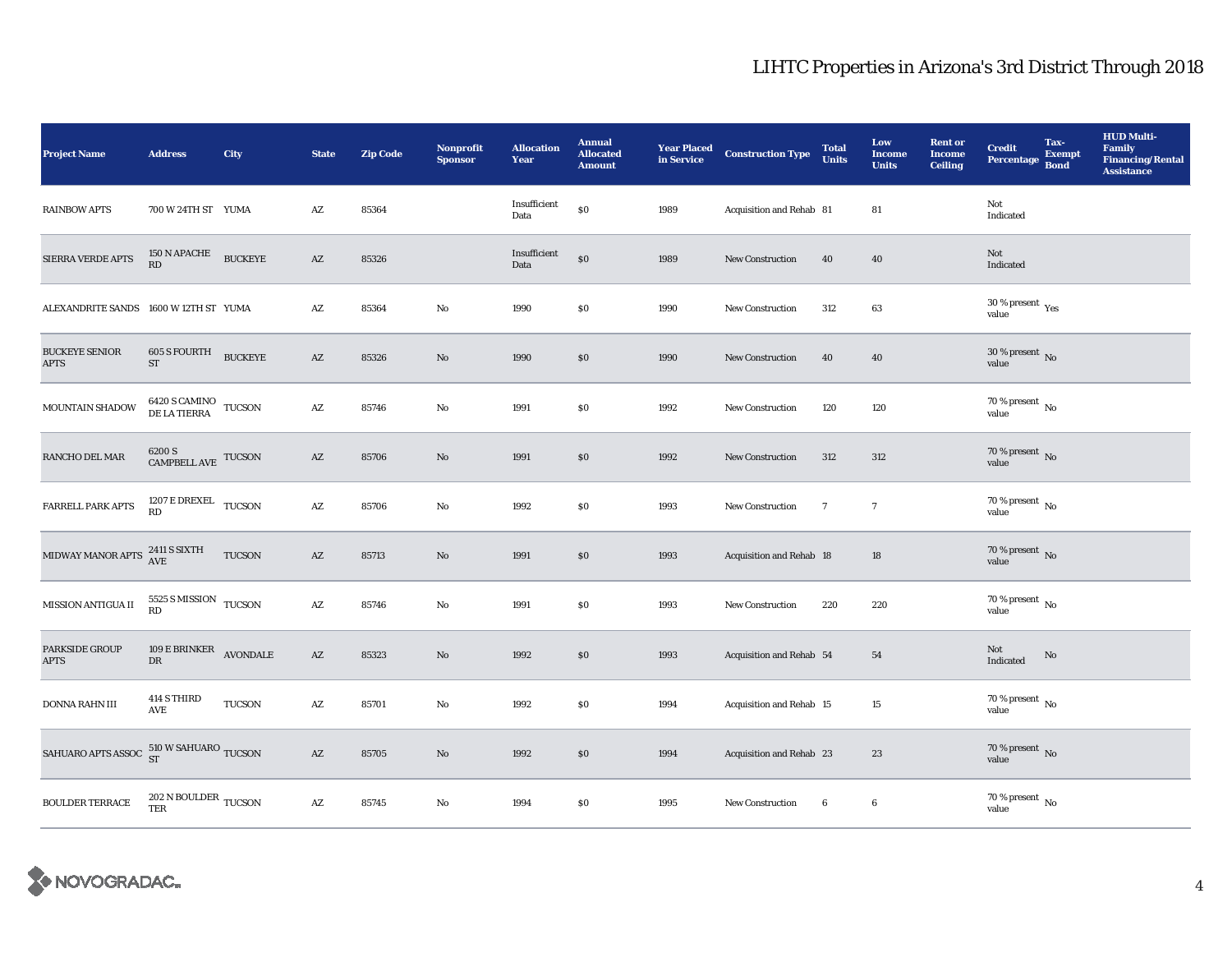| <b>Project Name</b>                               | <b>Address</b>                                                                                              | City           | <b>State</b>           | Zip Code | Nonprofit<br><b>Sponsor</b> | <b>Allocation</b><br>Year | <b>Annual</b><br><b>Allocated</b><br><b>Amount</b> | <b>Year Placed</b><br>in Service | <b>Construction Type</b> | <b>Total</b><br><b>Units</b> | Low<br><b>Income</b><br><b>Units</b> | <b>Rent or</b><br><b>Income</b><br>Ceiling | Tax-<br><b>Credit</b><br><b>Exempt</b><br>Percentage Bond | <b>HUD Multi-</b><br><b>Family</b><br><b>Financing/Rental</b><br><b>Assistance</b> |
|---------------------------------------------------|-------------------------------------------------------------------------------------------------------------|----------------|------------------------|----------|-----------------------------|---------------------------|----------------------------------------------------|----------------------------------|--------------------------|------------------------------|--------------------------------------|--------------------------------------------|-----------------------------------------------------------|------------------------------------------------------------------------------------|
| <b>RAINBOW APTS</b>                               | 700 W 24TH ST YUMA                                                                                          |                | $\mathbf{A}\mathbf{Z}$ | 85364    |                             | Insufficient<br>Data      | \$0                                                | 1989                             | Acquisition and Rehab 81 |                              | 81                                   |                                            | Not<br>Indicated                                          |                                                                                    |
| SIERRA VERDE APTS                                 | $150$ N APACHE<br>RD                                                                                        | <b>BUCKEYE</b> | AZ                     | 85326    |                             | Insufficient<br>Data      | $\boldsymbol{\mathsf{S}}\boldsymbol{\mathsf{O}}$   | 1989                             | <b>New Construction</b>  | 40                           | 40                                   |                                            | Not<br>Indicated                                          |                                                                                    |
| ALEXANDRITE SANDS 1600 W 12TH ST YUMA             |                                                                                                             |                | AZ                     | 85364    | No                          | 1990                      | \$0                                                | 1990                             | <b>New Construction</b>  | 312                          | 63                                   |                                            | 30 % present $\rm\,Yes$<br>value                          |                                                                                    |
| <b>BUCKEYE SENIOR</b><br><b>APTS</b>              | 605 S FOURTH<br>ST                                                                                          | <b>BUCKEYE</b> | $\mathbf{A}\mathbf{Z}$ | 85326    | No                          | 1990                      | \$0                                                | 1990                             | <b>New Construction</b>  | 40                           | 40                                   |                                            | $30$ % present $\,$ No value                              |                                                                                    |
| MOUNTAIN SHADOW                                   | $\begin{array}{ll} 6420\text{ S CAMINO} & \text{TUCSON} \\ \text{DE LA TIERRA} & \text{TUCSON} \end{array}$ |                | AZ                     | 85746    | No                          | 1991                      | $\$0$                                              | 1992                             | <b>New Construction</b>  | 120                          | 120                                  |                                            | $70$ % present $\,$ No $\,$<br>value                      |                                                                                    |
| <b>RANCHO DEL MAR</b>                             | $6200$ S $$\,{\rm CAMPBELL\,}$ TUCSON                                                                       |                | $\mathbf{A}\mathbf{Z}$ | 85706    | No                          | 1991                      | $\$0$                                              | 1992                             | <b>New Construction</b>  | 312                          | 312                                  |                                            | $70$ % present $_{\rm{No}}$                               |                                                                                    |
| FARRELL PARK APTS                                 | 1207 E DREXEL TUCSON<br>RD                                                                                  |                | $\mathbf{A}\mathbf{Z}$ | 85706    | No                          | 1992                      | $\$0$                                              | 1993                             | New Construction         | $\overline{7}$               | $\overline{7}$                       |                                            | $70$ % present $\,$ No $\,$<br>value                      |                                                                                    |
| MIDWAY MANOR APTS $^{2411}_{\text{AVE}}$ SIXTH    |                                                                                                             | TUCSON         | $\mathbf{A}\mathbf{Z}$ | 85713    | No                          | 1991                      | $\$0$                                              | 1993                             | Acquisition and Rehab 18 |                              | 18                                   |                                            | $70$ % present $\,$ No value                              |                                                                                    |
| MISSION ANTIGUA II                                | 5525 S MISSION TUCSON<br><b>RD</b>                                                                          |                | $\mathbf{A}\mathbf{Z}$ | 85746    | No                          | 1991                      | $\$0$                                              | 1993                             | <b>New Construction</b>  | 220                          | 220                                  |                                            | $70$ % present $\,$ No $\,$<br>value                      |                                                                                    |
| PARKSIDE GROUP<br><b>APTS</b>                     | 109 E BRINKER AVONDALE<br>DR                                                                                |                | AZ                     | 85323    | No                          | 1992                      | \$0                                                | 1993                             | Acquisition and Rehab 54 |                              | 54                                   |                                            | Not<br>No<br>Indicated                                    |                                                                                    |
| DONNA RAHN III                                    | 414 S THIRD<br>AVE                                                                                          | TUCSON         | AZ                     | 85701    | No                          | 1992                      | $\$0$                                              | 1994                             | Acquisition and Rehab 15 |                              | 15                                   |                                            | $70$ % present $\,$ No value                              |                                                                                    |
| SAHUARO APTS ASSOC $^{510}_{ST}$ W SAHUARO TUCSON |                                                                                                             |                | $\mathbf{A}\mathbf{Z}$ | 85705    | No                          | 1992                      | \$0                                                | 1994                             | Acquisition and Rehab 23 |                              | 23                                   |                                            | 70 % present $\,$ No $\,$<br>value                        |                                                                                    |
| BOULDER TERRACE                                   | $202$ N BOULDER $\,$ TUCSON $\,$<br><b>TER</b>                                                              |                | AZ                     | 85745    | No                          | 1994                      | $\$0$                                              | 1995                             | New Construction         | $6\phantom{.0}$              | $\bf{6}$                             |                                            | $70$ % present $\,$ No $\,$<br>value                      |                                                                                    |

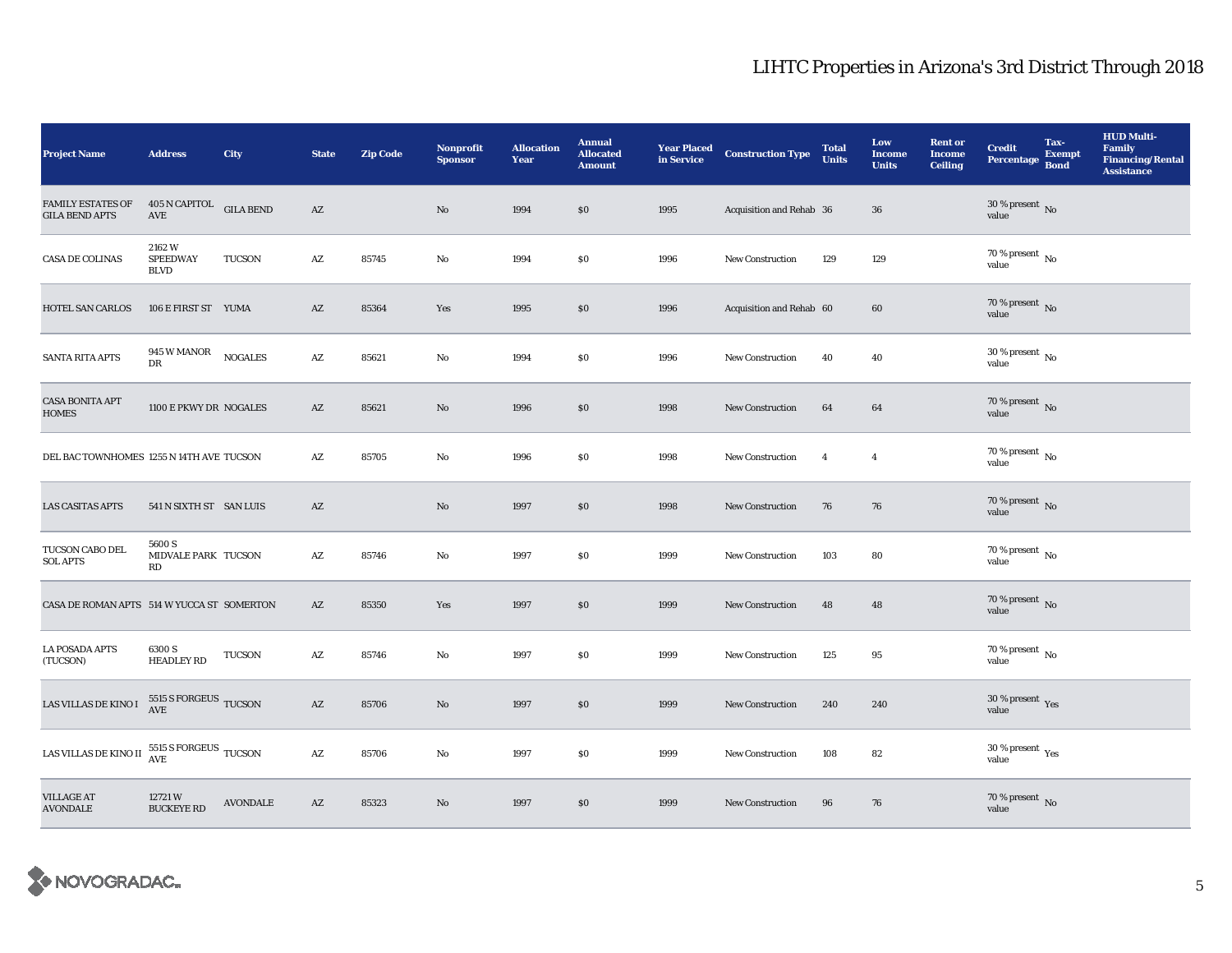| <b>Project Name</b>                                                      | <b>Address</b>                                         | City            | <b>State</b>           | <b>Zip Code</b> | <b>Nonprofit</b><br><b>Sponsor</b> | <b>Allocation</b><br>Year | <b>Annual</b><br><b>Allocated</b><br><b>Amount</b> | <b>Year Placed</b><br>in Service | <b>Construction Type</b> | <b>Total</b><br><b>Units</b> | Low<br><b>Income</b><br><b>Units</b> | <b>Rent or</b><br><b>Income</b><br><b>Ceiling</b> | <b>Credit</b><br><b>Percentage</b>       | Tax-<br><b>Exempt</b><br><b>Bond</b> | <b>HUD Multi-</b><br><b>Family</b><br><b>Financing/Rental</b><br><b>Assistance</b> |
|--------------------------------------------------------------------------|--------------------------------------------------------|-----------------|------------------------|-----------------|------------------------------------|---------------------------|----------------------------------------------------|----------------------------------|--------------------------|------------------------------|--------------------------------------|---------------------------------------------------|------------------------------------------|--------------------------------------|------------------------------------------------------------------------------------|
| <b>FAMILY ESTATES OF</b><br><b>GILA BEND APTS</b>                        | 405 N CAPITOL GILA BEND<br>AVE                         |                 | AZ                     |                 | $\mathbf{N}\mathbf{o}$             | 1994                      | \$0                                                | 1995                             | Acquisition and Rehab 36 |                              | 36                                   |                                                   | $30\,\%$ present $\,$ No value           |                                      |                                                                                    |
| CASA DE COLINAS                                                          | 2162W<br><b>SPEEDWAY</b><br><b>BLVD</b>                | TUCSON          | $\mathbf{A}\mathbf{Z}$ | 85745           | $\rm No$                           | 1994                      | \$0                                                | 1996                             | New Construction         | 129                          | 129                                  |                                                   | $70\%$ present $\overline{N_0}$<br>value |                                      |                                                                                    |
| HOTEL SAN CARLOS                                                         | 106 E FIRST ST YUMA                                    |                 | AZ                     | 85364           | Yes                                | 1995                      | \$0                                                | 1996                             | Acquisition and Rehab 60 |                              | 60                                   |                                                   | 70 % present $\overline{N}$<br>value     |                                      |                                                                                    |
| <b>SANTA RITA APTS</b>                                                   | 945 W MANOR<br>DR                                      | <b>NOGALES</b>  | $\mathbf{A}\mathbf{Z}$ | 85621           | $\rm No$                           | 1994                      | \$0                                                | 1996                             | New Construction         | 40                           | 40                                   |                                                   | 30 % present $\,$ No $\,$<br>value       |                                      |                                                                                    |
| <b>CASA BONITA APT</b><br><b>HOMES</b>                                   | 1100 E PKWY DR NOGALES                                 |                 | $\mathbf{A}\mathbf{Z}$ | 85621           | $\rm No$                           | 1996                      | $\$0$                                              | 1998                             | <b>New Construction</b>  | 64                           | 64                                   |                                                   | $70$ % present $\,$ No value             |                                      |                                                                                    |
| DEL BAC TOWNHOMES 1255 N 14TH AVE TUCSON                                 |                                                        |                 | AZ                     | 85705           | No                                 | 1996                      | \$0                                                | 1998                             | <b>New Construction</b>  | $\overline{4}$               | $\overline{4}$                       |                                                   | 70 % present $\,$ No $\,$<br>value       |                                      |                                                                                    |
| <b>LAS CASITAS APTS</b>                                                  | 541 N SIXTH ST SAN LUIS                                |                 | AZ                     |                 | $\mathbf{N}\mathbf{o}$             | 1997                      | \$0                                                | 1998                             | <b>New Construction</b>  | 76                           | 76                                   |                                                   | $70$ % present $_{\rm{No}}$              |                                      |                                                                                    |
| TUCSON CABO DEL<br><b>SOL APTS</b>                                       | 5600 S<br>MIDVALE PARK TUCSON<br>RD                    |                 | AZ                     | 85746           | No                                 | 1997                      | \$0                                                | 1999                             | <b>New Construction</b>  | 103                          | 80                                   |                                                   | $70$ % present $\,$ No value             |                                      |                                                                                    |
| CASA DE ROMAN APTS 514 W YUCCA ST SOMERTON                               |                                                        |                 | AZ                     | 85350           | Yes                                | 1997                      | \$0                                                | 1999                             | New Construction         | 48                           | 48                                   |                                                   | 70 % present No<br>value                 |                                      |                                                                                    |
| <b>LA POSADA APTS</b><br>(TUCSON)                                        | 6300 S<br><b>HEADLEY RD</b>                            | <b>TUCSON</b>   | A Z                    | 85746           | No                                 | 1997                      | \$0                                                | 1999                             | <b>New Construction</b>  | 125                          | 95                                   |                                                   | $70$ % present $\,$ No $\,$<br>value     |                                      |                                                                                    |
| LAS VILLAS DE KINO I                                                     | 5515 S FORGEUS TUCSON<br>$\operatorname{\mathbf{AVE}}$ |                 | AZ                     | 85706           | $\rm No$                           | 1997                      | \$0                                                | 1999                             | New Construction         | 240                          | 240                                  |                                                   | $30\,\%$ present $\,$ $\rm Yes$<br>value |                                      |                                                                                    |
| LAS VILLAS DE KINO II $\frac{5515 \text{ S FORGEUS}}{\text{AVE}}$ TUCSON |                                                        |                 | $\mathbf{A}\mathbf{Z}$ | 85706           | $\mathbf{N}\mathbf{o}$             | 1997                      | \$0                                                | 1999                             | <b>New Construction</b>  | 108                          | 82                                   |                                                   | 30 % present $\rm_{Yes}$<br>value        |                                      |                                                                                    |
| <b>VILLAGE AT</b><br><b>AVONDALE</b>                                     | 12721W<br><b>BUCKEYE RD</b>                            | <b>AVONDALE</b> | AZ                     | 85323           | No                                 | 1997                      | \$0                                                | 1999                             | <b>New Construction</b>  | 96                           | 76                                   |                                                   | $70\,\%$ present $\,$ No value           |                                      |                                                                                    |

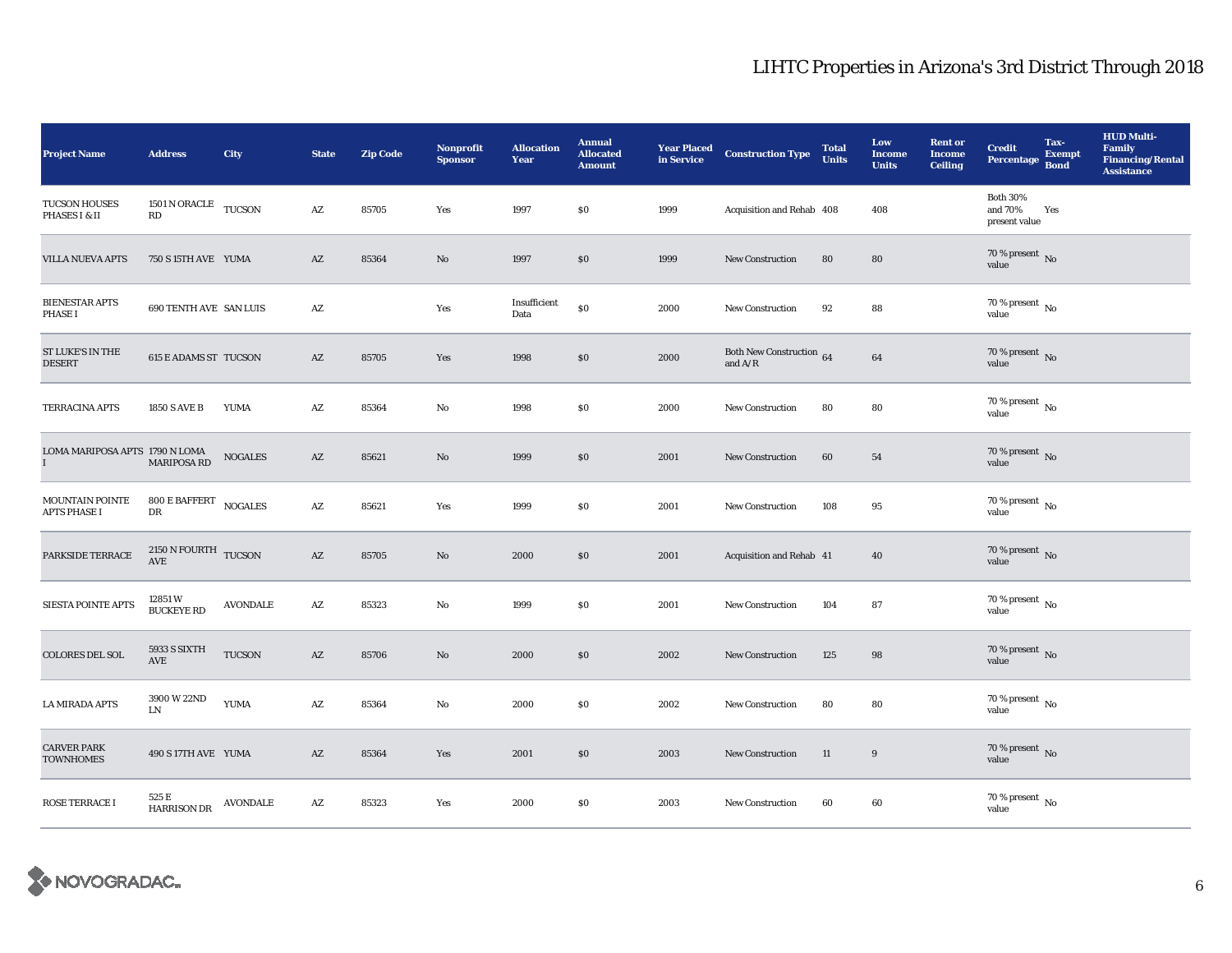| <b>Project Name</b>                            | <b>Address</b>                                             | City            | <b>State</b>           | <b>Zip Code</b> | <b>Nonprofit</b><br><b>Sponsor</b> | <b>Allocation</b><br>Year | <b>Annual</b><br><b>Allocated</b><br><b>Amount</b> | <b>Year Placed</b><br>in Service | <b>Construction Type</b>                  | <b>Total</b><br><b>Units</b> | Low<br><b>Income</b><br><b>Units</b> | <b>Rent or</b><br><b>Income</b><br><b>Ceiling</b> | <b>Credit</b><br>Percentage Bond            | Tax-<br><b>Exempt</b> | <b>HUD Multi-</b><br><b>Family</b><br><b>Financing/Rental</b><br><b>Assistance</b> |
|------------------------------------------------|------------------------------------------------------------|-----------------|------------------------|-----------------|------------------------------------|---------------------------|----------------------------------------------------|----------------------------------|-------------------------------------------|------------------------------|--------------------------------------|---------------------------------------------------|---------------------------------------------|-----------------------|------------------------------------------------------------------------------------|
| <b>TUCSON HOUSES</b><br>PHASES I & II          | 1501 N ORACLE TUCSON<br>RD                                 |                 | $\mathbf{A}\mathbf{Z}$ | 85705           | Yes                                | 1997                      | \$0                                                | 1999                             | Acquisition and Rehab 408                 |                              | 408                                  |                                                   | <b>Both 30%</b><br>and 70%<br>present value | Yes                   |                                                                                    |
| <b>VILLA NUEVA APTS</b>                        | 750 S 15TH AVE YUMA                                        |                 | AZ                     | 85364           | $\mathbf{N}\mathbf{o}$             | 1997                      | \$0                                                | 1999                             | <b>New Construction</b>                   | 80                           | 80                                   |                                                   | $70\,\%$ present $\,$ No value              |                       |                                                                                    |
| <b>BIENESTAR APTS</b><br><b>PHASE I</b>        | <b>690 TENTH AVE SAN LUIS</b>                              |                 | AZ                     |                 | Yes                                | Insufficient<br>Data      | $\$0$                                              | 2000                             | New Construction                          | 92                           | 88                                   |                                                   | 70 % present $\,$ No $\,$<br>value          |                       |                                                                                    |
| ST LUKE'S IN THE<br><b>DESERT</b>              | <b>615 E ADAMS ST TUCSON</b>                               |                 | $\mathbf{A}\mathbf{Z}$ | 85705           | Yes                                | 1998                      | \$0                                                | 2000                             | Both New Construction 64<br>and $\rm A/R$ |                              | $\bf{64}$                            |                                                   | $70\,\%$ present $\,$ No value              |                       |                                                                                    |
| <b>TERRACINA APTS</b>                          | <b>1850 S AVE B</b>                                        | YUMA            | AZ                     | 85364           | No                                 | 1998                      | \$0                                                | 2000                             | New Construction                          | 80                           | 80                                   |                                                   | 70 % present $\,$ No $\,$<br>value          |                       |                                                                                    |
| LOMA MARIPOSA APTS 1790 N LOMA<br>$\mathbf{I}$ | <b>MARIPOSA RD</b>                                         | <b>NOGALES</b>  | AZ                     | 85621           | $\rm No$                           | 1999                      | \$0                                                | 2001                             | New Construction                          | 60                           | 54                                   |                                                   | $70$ % present $\,$ No value                |                       |                                                                                    |
| MOUNTAIN POINTE<br>APTS PHASE I                | $800\,\mathrm{E}\,\mathrm{BAFFERT}$ NOGALES<br>$_{\rm DR}$ |                 | AZ                     | 85621           | Yes                                | 1999                      | \$0                                                | 2001                             | New Construction                          | 108                          | 95                                   |                                                   | 70 % present $\,$ No $\,$<br>value          |                       |                                                                                    |
| PARKSIDE TERRACE                               | 2150 N FOURTH TUCSON<br>AVE                                |                 | AZ                     | 85705           | $\rm No$                           | 2000                      | \$0                                                | 2001                             | Acquisition and Rehab 41                  |                              | 40                                   |                                                   | $70$ % present $\,$ No value                |                       |                                                                                    |
| <b>SIESTA POINTE APTS</b>                      | 12851W<br><b>BUCKEYE RD</b>                                | <b>AVONDALE</b> | A Z                    | 85323           | $\mathbf{N}\mathbf{o}$             | 1999                      | \$0                                                | 2001                             | New Construction                          | 104                          | 87                                   |                                                   | 70 % present $\,$ No $\,$<br>value          |                       |                                                                                    |
| <b>COLORES DEL SOL</b>                         | 5933 S SIXTH<br><b>AVE</b>                                 | <b>TUCSON</b>   | AZ                     | 85706           | $\mathbf{N}\mathbf{o}$             | 2000                      | \$0                                                | 2002                             | <b>New Construction</b>                   | 125                          | 98                                   |                                                   | 70 % present $\hbox{~No}$<br>value          |                       |                                                                                    |
| <b>LA MIRADA APTS</b>                          | 3900 W 22ND<br>LN                                          | YUMA            | AZ                     | 85364           | No                                 | 2000                      | \$0                                                | 2002                             | <b>New Construction</b>                   | 80                           | 80                                   |                                                   | $70\,\%$ present $\,$ No value              |                       |                                                                                    |
| <b>CARVER PARK</b><br><b>TOWNHOMES</b>         | 490 S 17TH AVE YUMA                                        |                 | AZ                     | 85364           | Yes                                | 2001                      | \$0                                                | 2003                             | <b>New Construction</b>                   | 11                           | 9                                    |                                                   | 70 % present $\,$ No $\,$<br>value          |                       |                                                                                    |
| ROSE TERRACE I                                 | 525 E<br>HARRISON DR                                       | <b>AVONDALE</b> | $\mathbf{A}\mathbf{Z}$ | 85323           | Yes                                | 2000                      | \$0                                                | 2003                             | <b>New Construction</b>                   | 60                           | 60                                   |                                                   | $70$ % present $\,$ No $\,$<br>value        |                       |                                                                                    |

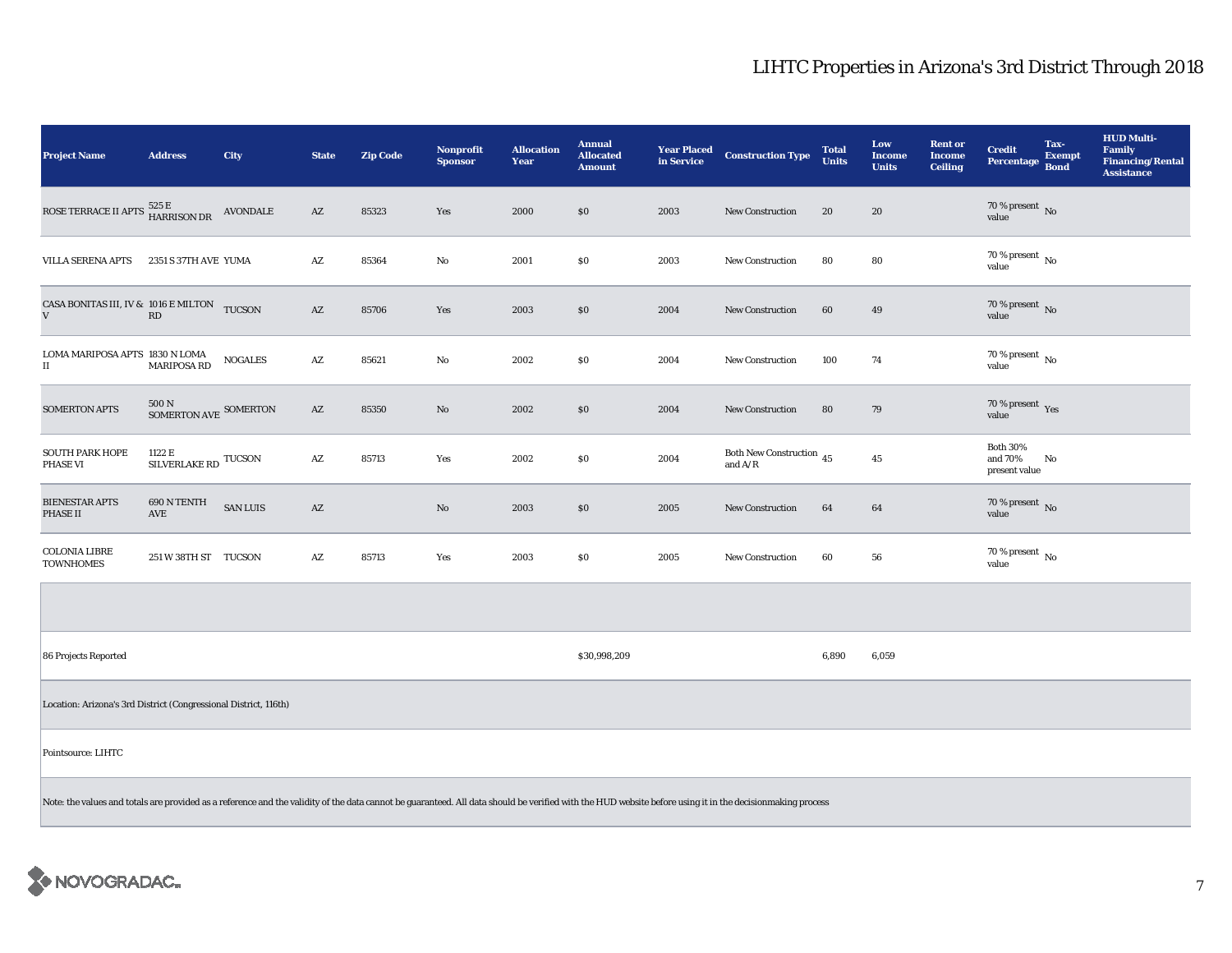| <b>Project Name</b>                                              | <b>Address</b>                                                                                                                                                                                            | <b>City</b>     | <b>State</b>           | <b>Zip Code</b> | <b>Nonprofit</b><br><b>Sponsor</b> | <b>Allocation</b><br>Year | <b>Annual</b><br><b>Allocated</b><br><b>Amount</b> | <b>Year Placed</b><br>in Service | <b>Construction Type</b>                       | <b>Total</b><br><b>Units</b> | Low<br><b>Income</b><br><b>Units</b> | <b>Rent or</b><br><b>Income</b><br><b>Ceiling</b> | <b>Credit</b><br>Percentage                 | Tax-<br><b>Exempt</b><br><b>Bond</b> | <b>HUD Multi-</b><br><b>Family</b><br><b>Financing/Rental</b><br><b>Assistance</b> |
|------------------------------------------------------------------|-----------------------------------------------------------------------------------------------------------------------------------------------------------------------------------------------------------|-----------------|------------------------|-----------------|------------------------------------|---------------------------|----------------------------------------------------|----------------------------------|------------------------------------------------|------------------------------|--------------------------------------|---------------------------------------------------|---------------------------------------------|--------------------------------------|------------------------------------------------------------------------------------|
|                                                                  |                                                                                                                                                                                                           |                 | AZ                     | 85323           | Yes                                | 2000                      | \$0                                                | 2003                             | New Construction                               | 20                           | 20                                   |                                                   | 70 % present $\,$ No $\,$<br>value          |                                      |                                                                                    |
| <b>VILLA SERENA APTS</b>                                         | 2351 S 37TH AVE YUMA                                                                                                                                                                                      |                 | $\mathbf{A}\mathbf{Z}$ | 85364           | No                                 | 2001                      | \$0                                                | 2003                             | New Construction                               | 80                           | 80                                   |                                                   | 70 % present $\,$ No $\,$<br>value          |                                      |                                                                                    |
| CASA BONITAS III, IV & 1016 E MILTON TUCSON<br>${\bf V}$         | RD                                                                                                                                                                                                        |                 | AZ                     | 85706           | Yes                                | 2003                      | \$0                                                | 2004                             | <b>New Construction</b>                        | 60                           | 49                                   |                                                   | 70 % present $\overline{N}$<br>value        |                                      |                                                                                    |
| LOMA MARIPOSA APTS 1830 N LOMA<br>$\scriptstyle\rm II$           | <b>MARIPOSA RD</b>                                                                                                                                                                                        | <b>NOGALES</b>  | $\mathbf{A}\mathbf{Z}$ | 85621           | No                                 | 2002                      | $\$0$                                              | 2004                             | <b>New Construction</b>                        | 100                          | 74                                   |                                                   | 70 % present $\,$ No $\,$<br>value          |                                      |                                                                                    |
| <b>SOMERTON APTS</b>                                             | $500\,\mathrm{N}$ SOMERTON AVE SOMERTON                                                                                                                                                                   |                 | $\mathbf{A}\mathbf{Z}$ | 85350           | $\mathbf{N}\mathbf{o}$             | 2002                      | $\$0$                                              | 2004                             | New Construction                               | 80                           | 79                                   |                                                   | 70 % present $\,$ $\rm Yes$<br>value        |                                      |                                                                                    |
| <b>SOUTH PARK HOPE</b><br>PHASE VI                               | 1122 E<br>SILVERLAKE RD $\,$ TUCSON $\,$                                                                                                                                                                  |                 | $\mathbf{A}\mathbf{Z}$ | 85713           | Yes                                | 2002                      | \$0                                                | 2004                             | Both New Construction $\sqrt{45}$<br>and $A/R$ |                              | $45\,$                               |                                                   | <b>Both 30%</b><br>and 70%<br>present value | No                                   |                                                                                    |
| <b>BIENESTAR APTS</b><br>PHASE II                                | 690 N TENTH<br>AVE                                                                                                                                                                                        | <b>SAN LUIS</b> | $\mathbf{A}\mathbf{Z}$ |                 | $\mathbf{N}\mathbf{o}$             | 2003                      | $\$0$                                              | 2005                             | New Construction                               | 64                           | 64                                   |                                                   | 70 % present $\,$ No $\,$<br>value          |                                      |                                                                                    |
| <b>COLONIA LIBRE</b><br><b>TOWNHOMES</b>                         | 251 W 38TH ST TUCSON                                                                                                                                                                                      |                 | $\mathbf{A}\mathbf{Z}$ | 85713           | Yes                                | 2003                      | \$0                                                | 2005                             | <b>New Construction</b>                        | 60                           | 56                                   |                                                   | $70$ % present $\,$ No $\,$<br>value        |                                      |                                                                                    |
|                                                                  |                                                                                                                                                                                                           |                 |                        |                 |                                    |                           |                                                    |                                  |                                                |                              |                                      |                                                   |                                             |                                      |                                                                                    |
| 86 Projects Reported                                             |                                                                                                                                                                                                           |                 |                        |                 |                                    |                           | \$30,998,209                                       |                                  |                                                | 6,890                        | 6,059                                |                                                   |                                             |                                      |                                                                                    |
| Location: Arizona's 3rd District (Congressional District, 116th) |                                                                                                                                                                                                           |                 |                        |                 |                                    |                           |                                                    |                                  |                                                |                              |                                      |                                                   |                                             |                                      |                                                                                    |
| Pointsource: LIHTC                                               |                                                                                                                                                                                                           |                 |                        |                 |                                    |                           |                                                    |                                  |                                                |                              |                                      |                                                   |                                             |                                      |                                                                                    |
|                                                                  | Note: the values and totals are provided as a reference and the validity of the data cannot be guaranteed. All data should be verified with the HUD website before using it in the decisionmaking process |                 |                        |                 |                                    |                           |                                                    |                                  |                                                |                              |                                      |                                                   |                                             |                                      |                                                                                    |